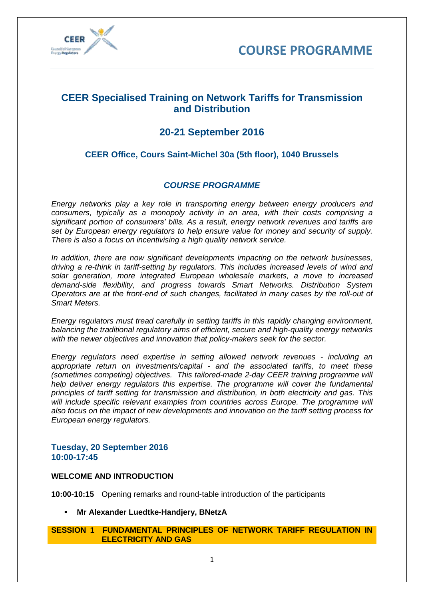



## **CEER Specialised Training on Network Tariffs for Transmission and Distribution**

# **20-21 September 2016**

## **CEER Office, Cours Saint-Michel 30a (5th floor), 1040 Brussels**

### *COURSE PROGRAMME*

*Energy networks play a key role in transporting energy between energy producers and consumers, typically as a monopoly activity in an area, with their costs comprising a significant portion of consumers' bills. As a result, energy network revenues and tariffs are set by European energy regulators to help ensure value for money and security of supply. There is also a focus on incentivising a high quality network service.* 

*In addition, there are now significant developments impacting on the network businesses, driving a re-think in tariff-setting by regulators. This includes increased levels of wind and solar generation, more integrated European wholesale markets, a move to increased demand-side flexibility, and progress towards Smart Networks. Distribution System Operators are at the front-end of such changes, facilitated in many cases by the roll-out of Smart Meters.* 

*Energy regulators must tread carefully in setting tariffs in this rapidly changing environment, balancing the traditional regulatory aims of efficient, secure and high-quality energy networks with the newer objectives and innovation that policy-makers seek for the sector.*

*Energy regulators need expertise in setting allowed network revenues - including an appropriate return on investments/capital - and the associated tariffs, to meet these (sometimes competing) objectives. This tailored-made 2-day CEER training programme will help deliver energy regulators this expertise. The programme will cover the fundamental principles of tariff setting for transmission and distribution, in both electricity and gas. This will include specific relevant examples from countries across Europe. The programme will also focus on the impact of new developments and innovation on the tariff setting process for European energy regulators.*

### **Tuesday, 20 September 2016 10:00-17:45**

#### **WELCOME AND INTRODUCTION**

**10:00-10:15** Opening remarks and round-table introduction of the participants

**Mr Alexander Luedtke-Handjery, BNetzA**

#### **SESSION 1 FUNDAMENTAL PRINCIPLES OF NETWORK TARIFF REGULATION IN ELECTRICITY AND GAS**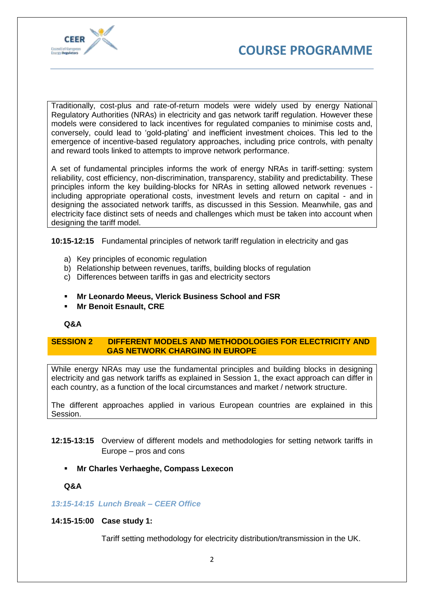



Traditionally, cost-plus and rate-of-return models were widely used by energy National Regulatory Authorities (NRAs) in electricity and gas network tariff regulation. However these models were considered to lack incentives for regulated companies to minimise costs and, conversely, could lead to 'gold-plating' and inefficient investment choices. This led to the emergence of incentive-based regulatory approaches, including price controls, with penalty and reward tools linked to attempts to improve network performance.

A set of fundamental principles informs the work of energy NRAs in tariff-setting: system reliability, cost efficiency, non-discrimination, transparency, stability and predictability. These principles inform the key building-blocks for NRAs in setting allowed network revenues including appropriate operational costs, investment levels and return on capital - and in designing the associated network tariffs, as discussed in this Session. Meanwhile, gas and electricity face distinct sets of needs and challenges which must be taken into account when designing the tariff model.

**10:15-12:15** Fundamental principles of network tariff regulation in electricity and gas

- a) Key principles of economic regulation
- b) Relationship between revenues, tariffs, building blocks of regulation
- c) Differences between tariffs in gas and electricity sectors
- **Mr Leonardo Meeus, Vlerick Business School and FSR**
- **Mr Benoit Esnault, CRE**

#### **Q&A**

#### **SESSION 2 DIFFERENT MODELS AND METHODOLOGIES FOR ELECTRICITY AND GAS NETWORK CHARGING IN EUROPE**

While energy NRAs may use the fundamental principles and building blocks in designing electricity and gas network tariffs as explained in Session 1, the exact approach can differ in each country, as a function of the local circumstances and market / network structure.

The different approaches applied in various European countries are explained in this Session.

- **12:15-13:15** Overview of different models and methodologies for setting network tariffs in Europe – pros and cons
	- **Mr Charles Verhaeghe, Compass Lexecon**

**Q&A**

#### *13:15-14:15 Lunch Break – CEER Office*

#### **14:15-15:00 Case study 1:**

Tariff setting methodology for electricity distribution/transmission in the UK.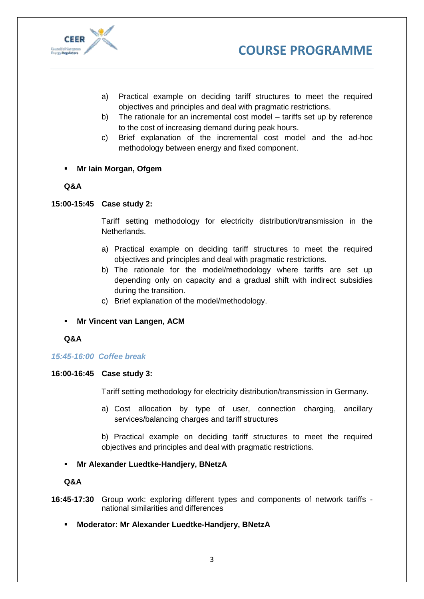



- a) Practical example on deciding tariff structures to meet the required objectives and principles and deal with pragmatic restrictions.
- b) The rationale for an incremental cost model tariffs set up by reference to the cost of increasing demand during peak hours.
- c) Brief explanation of the incremental cost model and the ad-hoc methodology between energy and fixed component.
- **Mr Iain Morgan, Ofgem**

### **Q&A**

#### **15:00-15:45 Case study 2:**

Tariff setting methodology for electricity distribution/transmission in the Netherlands.

- a) Practical example on deciding tariff structures to meet the required objectives and principles and deal with pragmatic restrictions.
- b) The rationale for the model/methodology where tariffs are set up depending only on capacity and a gradual shift with indirect subsidies during the transition.
- c) Brief explanation of the model/methodology.
- **Mr Vincent van Langen, ACM**
- **Q&A**

#### *15:45-16:00 Coffee break*

#### **16:00-16:45 Case study 3:**

Tariff setting methodology for electricity distribution/transmission in Germany.

a) Cost allocation by type of user, connection charging, ancillary services/balancing charges and tariff structures

b) Practical example on deciding tariff structures to meet the required objectives and principles and deal with pragmatic restrictions.

#### **Mr Alexander Luedtke-Handjery, BNetzA**

**Q&A**

- **16:45-17:30** Group work: exploring different types and components of network tariffs national similarities and differences
	- **Moderator: Mr Alexander Luedtke-Handjery, BNetzA**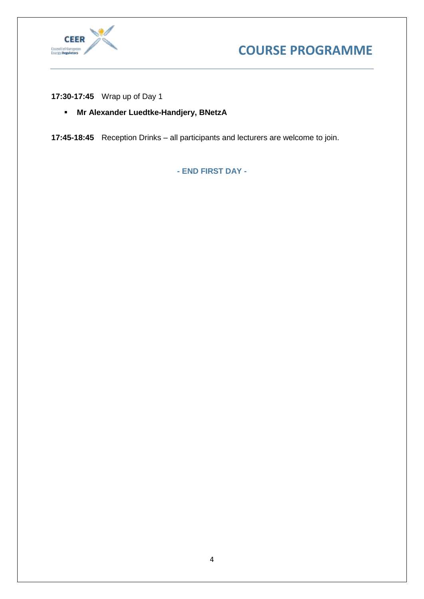



**17:30-17:45** Wrap up of Day 1

**Mr Alexander Luedtke-Handjery, BNetzA**

**17:45-18:45** Reception Drinks – all participants and lecturers are welcome to join.

**- END FIRST DAY -**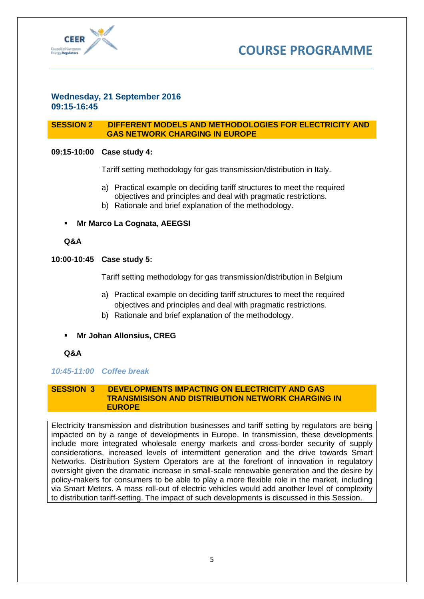



#### **Wednesday, 21 September 2016 09:15-16:45**

#### **SESSION 2 DIFFERENT MODELS AND METHODOLOGIES FOR ELECTRICITY AND GAS NETWORK CHARGING IN EUROPE**

#### **09:15-10:00 Case study 4:**

Tariff setting methodology for gas transmission/distribution in Italy.

- a) Practical example on deciding tariff structures to meet the required objectives and principles and deal with pragmatic restrictions.
- b) Rationale and brief explanation of the methodology.

**Mr Marco La Cognata, AEEGSI**

#### **Q&A**

#### **10:00-10:45 Case study 5:**

Tariff setting methodology for gas transmission/distribution in Belgium

- a) Practical example on deciding tariff structures to meet the required objectives and principles and deal with pragmatic restrictions.
- b) Rationale and brief explanation of the methodology.
- **Mr Johan Allonsius, CREG**

#### **Q&A**

#### *10:45-11:00 Coffee break*

#### **SESSION 3 DEVELOPMENTS IMPACTING ON ELECTRICITY AND GAS TRANSMISISON AND DISTRIBUTION NETWORK CHARGING IN EUROPE**

Electricity transmission and distribution businesses and tariff setting by regulators are being impacted on by a range of developments in Europe. In transmission, these developments include more integrated wholesale energy markets and cross-border security of supply considerations, increased levels of intermittent generation and the drive towards Smart Networks. Distribution System Operators are at the forefront of innovation in regulatory oversight given the dramatic increase in small-scale renewable generation and the desire by policy-makers for consumers to be able to play a more flexible role in the market, including via Smart Meters. A mass roll-out of electric vehicles would add another level of complexity to distribution tariff-setting. The impact of such developments is discussed in this Session.